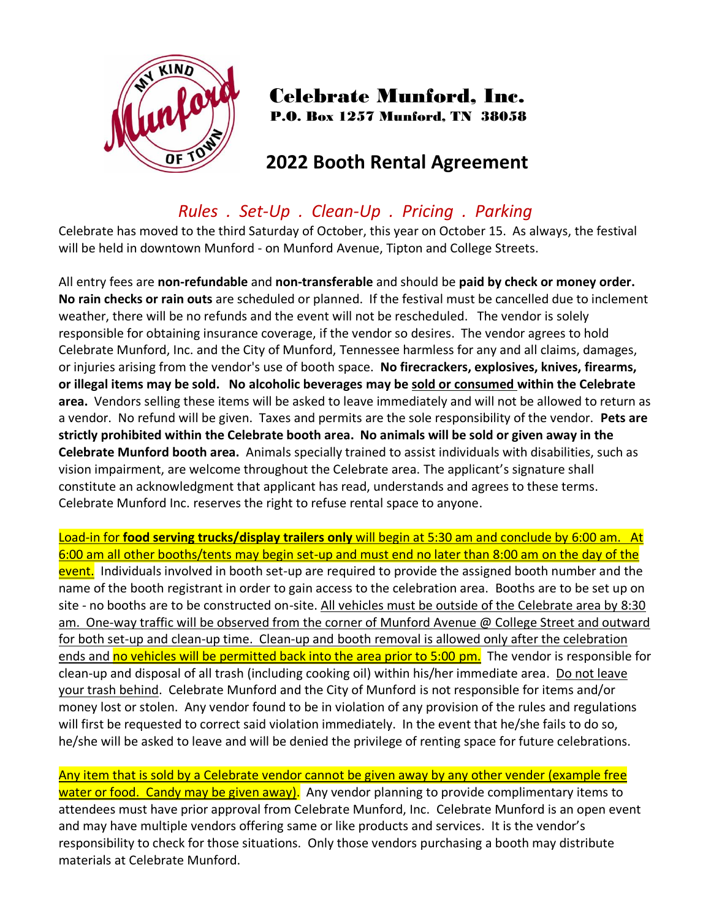

## Celebrate Munford, Inc. P.O. Box 1257 Munford, TN 38058

# **2022 Booth Rental Agreement**

## *Rules . Set-Up . Clean-Up . Pricing . Parking*

Celebrate has moved to the third Saturday of October, this year on October 15. As always, the festival will be held in downtown Munford - on Munford Avenue, Tipton and College Streets.

All entry fees are **non-refundable** and **non-transferable** and should be **paid by check or money order. No rain checks or rain outs** are scheduled or planned. If the festival must be cancelled due to inclement weather, there will be no refunds and the event will not be rescheduled. The vendor is solely responsible for obtaining insurance coverage, if the vendor so desires. The vendor agrees to hold Celebrate Munford, Inc. and the City of Munford, Tennessee harmless for any and all claims, damages, or injuries arising from the vendor's use of booth space. **No firecrackers, explosives, knives, firearms, or illegal items may be sold. No alcoholic beverages may be sold or consumed within the Celebrate area.** Vendors selling these items will be asked to leave immediately and will not be allowed to return as a vendor. No refund will be given. Taxes and permits are the sole responsibility of the vendor. **Pets are strictly prohibited within the Celebrate booth area. No animals will be sold or given away in the Celebrate Munford booth area.** Animals specially trained to assist individuals with disabilities, such as vision impairment, are welcome throughout the Celebrate area. The applicant's signature shall constitute an acknowledgment that applicant has read, understands and agrees to these terms. Celebrate Munford Inc. reserves the right to refuse rental space to anyone.

Load-in for **food serving trucks/display trailers only** will begin at 5:30 am and conclude by 6:00 am. At 6:00 am all other booths/tents may begin set-up and must end no later than 8:00 am on the day of the event. Individuals involved in booth set-up are required to provide the assigned booth number and the name of the booth registrant in order to gain access to the celebration area. Booths are to be set up on site - no booths are to be constructed on-site. All vehicles must be outside of the Celebrate area by 8:30 am. One-way traffic will be observed from the corner of Munford Avenue @ College Street and outward for both set-up and clean-up time. Clean-up and booth removal is allowed only after the celebration ends and no vehicles will be permitted back into the area prior to 5:00 pm. The vendor is responsible for clean-up and disposal of all trash (including cooking oil) within his/her immediate area. Do not leave your trash behind. Celebrate Munford and the City of Munford is not responsible for items and/or money lost or stolen. Any vendor found to be in violation of any provision of the rules and regulations will first be requested to correct said violation immediately. In the event that he/she fails to do so, he/she will be asked to leave and will be denied the privilege of renting space for future celebrations.

Any item that is sold by a Celebrate vendor cannot be given away by any other vender (example free water or food. Candy may be given away). Any vendor planning to provide complimentary items to attendees must have prior approval from Celebrate Munford, Inc. Celebrate Munford is an open event and may have multiple vendors offering same or like products and services. It is the vendor's responsibility to check for those situations. Only those vendors purchasing a booth may distribute materials at Celebrate Munford.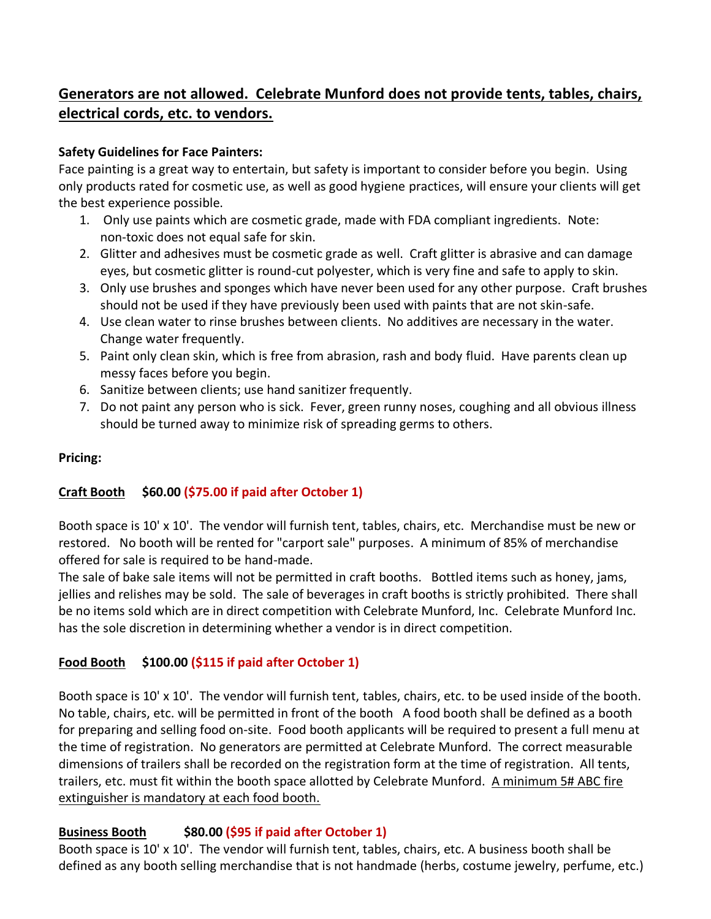### **Generators are not allowed. Celebrate Munford does not provide tents, tables, chairs, electrical cords, etc. to vendors.**

#### **Safety Guidelines for Face Painters:**

Face painting is a great way to entertain, but safety is important to consider before you begin. Using only products rated for cosmetic use, as well as good hygiene practices, will ensure your clients will get the best experience possible.

- 1. Only use paints which are cosmetic grade, made with FDA compliant ingredients. Note: non-toxic does not equal safe for skin.
- 2. Glitter and adhesives must be cosmetic grade as well. Craft glitter is abrasive and can damage eyes, but cosmetic glitter is round-cut polyester, which is very fine and safe to apply to skin.
- 3. Only use brushes and sponges which have never been used for any other purpose. Craft brushes should not be used if they have previously been used with paints that are not skin-safe.
- 4. Use clean water to rinse brushes between clients. No additives are necessary in the water. Change water frequently.
- 5. Paint only clean skin, which is free from abrasion, rash and body fluid. Have parents clean up messy faces before you begin.
- 6. Sanitize between clients; use hand sanitizer frequently.
- 7. Do not paint any person who is sick. Fever, green runny noses, coughing and all obvious illness should be turned away to minimize risk of spreading germs to others.

#### **Pricing:**

#### **Craft Booth \$60.00 (\$75.00 if paid after October 1)**

Booth space is 10' x 10'. The vendor will furnish tent, tables, chairs, etc. Merchandise must be new or restored. No booth will be rented for "carport sale" purposes. A minimum of 85% of merchandise offered for sale is required to be hand-made.

The sale of bake sale items will not be permitted in craft booths. Bottled items such as honey, jams, jellies and relishes may be sold. The sale of beverages in craft booths is strictly prohibited. There shall be no items sold which are in direct competition with Celebrate Munford, Inc. Celebrate Munford Inc. has the sole discretion in determining whether a vendor is in direct competition.

#### **Food Booth \$100.00 (\$115 if paid after October 1)**

Booth space is 10' x 10'. The vendor will furnish tent, tables, chairs, etc. to be used inside of the booth. No table, chairs, etc. will be permitted in front of the booth A food booth shall be defined as a booth for preparing and selling food on-site. Food booth applicants will be required to present a full menu at the time of registration. No generators are permitted at Celebrate Munford. The correct measurable dimensions of trailers shall be recorded on the registration form at the time of registration. All tents, trailers, etc. must fit within the booth space allotted by Celebrate Munford. A minimum 5# ABC fire extinguisher is mandatory at each food booth.

#### **Business Booth \$80.00 (\$95 if paid after October 1)**

Booth space is 10' x 10'. The vendor will furnish tent, tables, chairs, etc. A business booth shall be defined as any booth selling merchandise that is not handmade (herbs, costume jewelry, perfume, etc.)